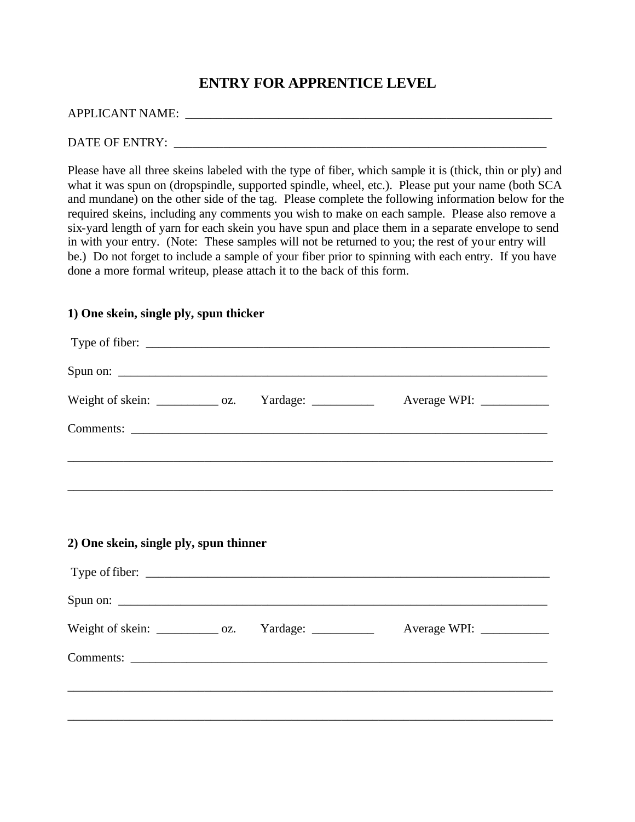## **ENTRY FOR APPRENTICE LEVEL**

#### APPLICANT NAME: \_\_\_\_\_\_\_\_\_\_\_\_\_\_\_\_\_\_\_\_\_\_\_\_\_\_\_\_\_\_\_\_\_\_\_\_\_\_\_\_\_\_\_\_\_\_\_\_\_\_\_\_\_\_\_\_\_\_\_

### DATE OF ENTRY: \_\_\_\_\_\_\_\_\_\_\_\_\_\_\_\_\_\_\_\_\_\_\_\_\_\_\_\_\_\_\_\_\_\_\_\_\_\_\_\_\_\_\_\_\_\_\_\_\_\_\_\_\_\_\_\_\_\_\_\_

Please have all three skeins labeled with the type of fiber, which sample it is (thick, thin or ply) and what it was spun on (dropspindle, supported spindle, wheel, etc.). Please put your name (both SCA and mundane) on the other side of the tag. Please complete the following information below for the required skeins, including any comments you wish to make on each sample. Please also remove a six-yard length of yarn for each skein you have spun and place them in a separate envelope to send in with your entry. (Note: These samples will not be returned to you; the rest of your entry will be.) Do not forget to include a sample of your fiber prior to spinning with each entry. If you have done a more formal writeup, please attach it to the back of this form.

#### **1) One skein, single ply, spun thicker**

| Type of fiber:                                         |  |  |
|--------------------------------------------------------|--|--|
|                                                        |  |  |
| Weight of skein: _____________ oz. Yardage: __________ |  |  |
|                                                        |  |  |
|                                                        |  |  |
|                                                        |  |  |
| 2) One skein, single ply, spun thinner                 |  |  |
|                                                        |  |  |
|                                                        |  |  |
| Weight of skein: _____________ oz. Yardage: __________ |  |  |
|                                                        |  |  |
|                                                        |  |  |
|                                                        |  |  |